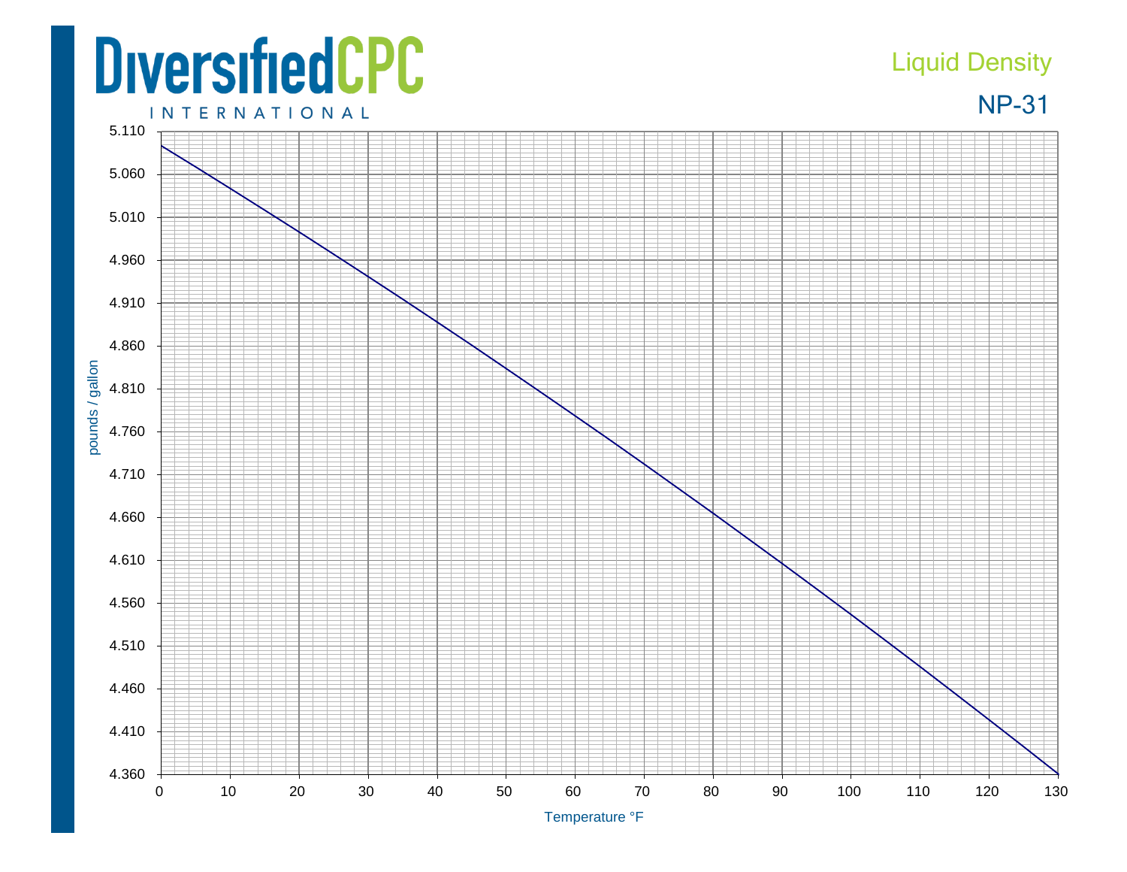## **DiversifiedCPC INTERNATIONAL**

## Liquid Density

NP-31